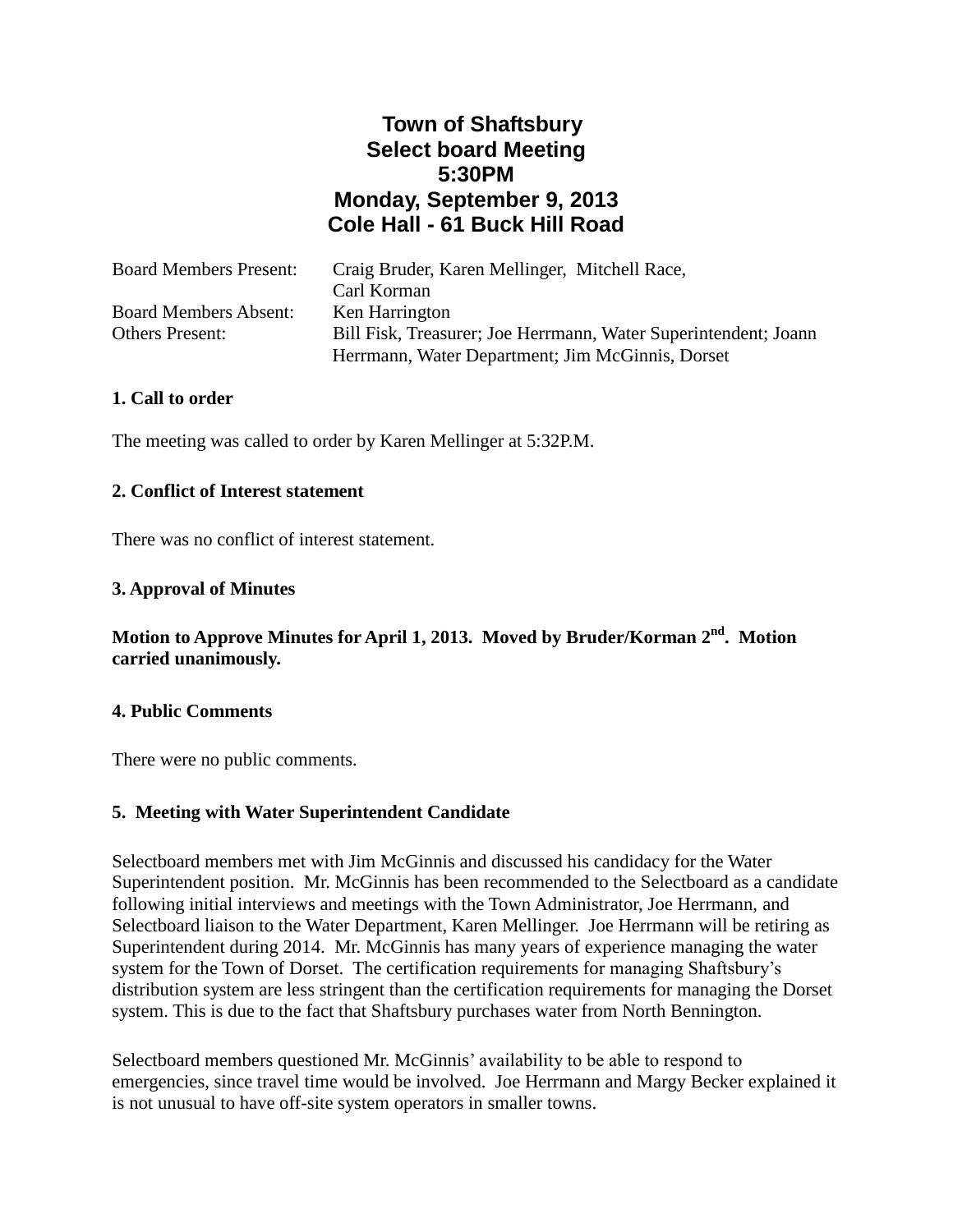# **Town of Shaftsbury Select board Meeting 5:30PM Monday, September 9, 2013 Cole Hall - 61 Buck Hill Road**

| <b>Board Members Present:</b> | Craig Bruder, Karen Mellinger, Mitchell Race,                   |
|-------------------------------|-----------------------------------------------------------------|
|                               | Carl Korman                                                     |
| <b>Board Members Absent:</b>  | Ken Harrington                                                  |
| <b>Others Present:</b>        | Bill Fisk, Treasurer; Joe Herrmann, Water Superintendent; Joann |
|                               | Herrmann, Water Department; Jim McGinnis, Dorset                |

## **1. Call to order**

The meeting was called to order by Karen Mellinger at 5:32P.M.

#### **2. Conflict of Interest statement**

There was no conflict of interest statement.

## **3. Approval of Minutes**

## Motion to Approve Minutes for April 1, 2013. Moved by Bruder/Korman 2<sup>nd</sup>. Motion **carried unanimously.**

#### **4. Public Comments**

There were no public comments.

#### **5. Meeting with Water Superintendent Candidate**

Selectboard members met with Jim McGinnis and discussed his candidacy for the Water Superintendent position. Mr. McGinnis has been recommended to the Selectboard as a candidate following initial interviews and meetings with the Town Administrator, Joe Herrmann, and Selectboard liaison to the Water Department, Karen Mellinger. Joe Herrmann will be retiring as Superintendent during 2014. Mr. McGinnis has many years of experience managing the water system for the Town of Dorset. The certification requirements for managing Shaftsbury's distribution system are less stringent than the certification requirements for managing the Dorset system. This is due to the fact that Shaftsbury purchases water from North Bennington.

Selectboard members questioned Mr. McGinnis' availability to be able to respond to emergencies, since travel time would be involved. Joe Herrmann and Margy Becker explained it is not unusual to have off-site system operators in smaller towns.